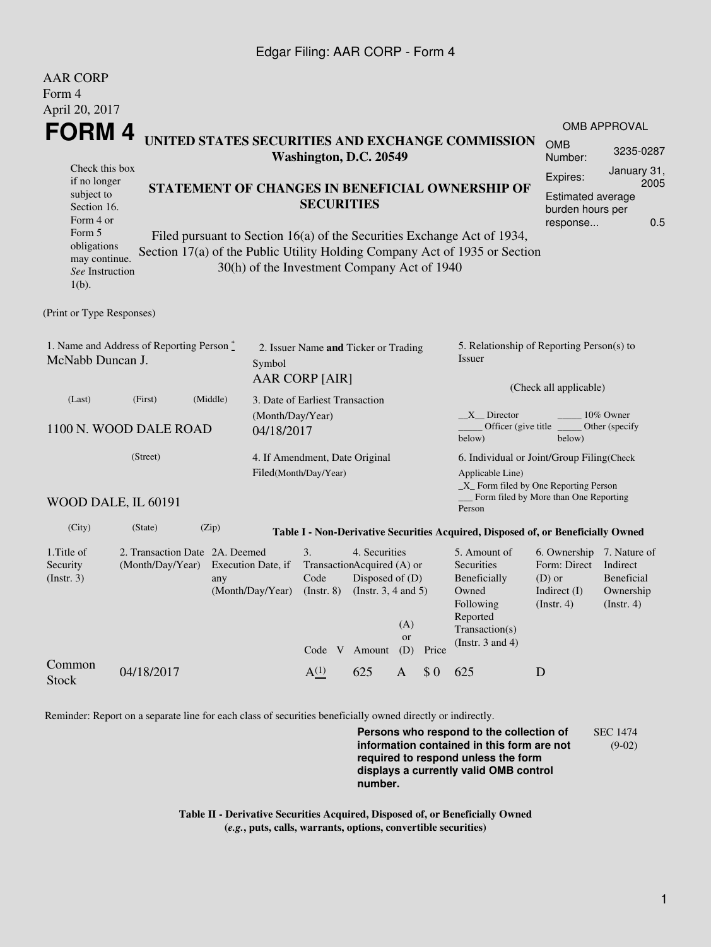## Edgar Filing: AAR CORP - Form 4

AAR CORP

| <i>i vervoum</i><br>Form 4<br>April 20, 2017                                                                                                                                                                                                                                  |                                                        |                                                  |                                                                                                                                    |     |                                                                                                |                                                                                |                                                                                                               |                                                                                             |                     |  |  |
|-------------------------------------------------------------------------------------------------------------------------------------------------------------------------------------------------------------------------------------------------------------------------------|--------------------------------------------------------|--------------------------------------------------|------------------------------------------------------------------------------------------------------------------------------------|-----|------------------------------------------------------------------------------------------------|--------------------------------------------------------------------------------|---------------------------------------------------------------------------------------------------------------|---------------------------------------------------------------------------------------------|---------------------|--|--|
| FORM 4                                                                                                                                                                                                                                                                        |                                                        |                                                  |                                                                                                                                    |     |                                                                                                |                                                                                |                                                                                                               |                                                                                             | <b>OMB APPROVAL</b> |  |  |
|                                                                                                                                                                                                                                                                               |                                                        | UNITED STATES SECURITIES AND EXCHANGE COMMISSION | Washington, D.C. 20549                                                                                                             |     |                                                                                                |                                                                                |                                                                                                               | <b>OMB</b><br>Number:                                                                       | 3235-0287           |  |  |
| Check this box<br>if no longer<br>subject to<br>Section 16.<br>Form 4 or                                                                                                                                                                                                      |                                                        |                                                  | STATEMENT OF CHANGES IN BENEFICIAL OWNERSHIP OF<br><b>SECURITIES</b>                                                               |     |                                                                                                |                                                                                |                                                                                                               | January 31,<br>Expires:<br>2005<br>Estimated average<br>burden hours per<br>0.5<br>response |                     |  |  |
| Form 5<br>Filed pursuant to Section 16(a) of the Securities Exchange Act of 1934,<br>obligations<br>Section 17(a) of the Public Utility Holding Company Act of 1935 or Section<br>may continue.<br>30(h) of the Investment Company Act of 1940<br>See Instruction<br>$1(b)$ . |                                                        |                                                  |                                                                                                                                    |     |                                                                                                |                                                                                |                                                                                                               |                                                                                             |                     |  |  |
| (Print or Type Responses)                                                                                                                                                                                                                                                     |                                                        |                                                  |                                                                                                                                    |     |                                                                                                |                                                                                |                                                                                                               |                                                                                             |                     |  |  |
| 1. Name and Address of Reporting Person $\stackrel{*}{\mathbb{L}}$<br>McNabb Duncan J.<br>Symbol                                                                                                                                                                              |                                                        |                                                  | 2. Issuer Name and Ticker or Trading<br><b>AAR CORP [AIR]</b>                                                                      |     |                                                                                                |                                                                                | 5. Relationship of Reporting Person(s) to<br><b>Issuer</b>                                                    |                                                                                             |                     |  |  |
| (Last)                                                                                                                                                                                                                                                                        | (Middle)<br>(First)<br>3. Date of Earliest Transaction |                                                  |                                                                                                                                    |     |                                                                                                |                                                                                | (Check all applicable)                                                                                        |                                                                                             |                     |  |  |
| 1100 N. WOOD DALE ROAD<br>04/18/2017                                                                                                                                                                                                                                          |                                                        |                                                  | (Month/Day/Year)                                                                                                                   |     |                                                                                                |                                                                                | X Director<br>10% Owner<br>Officer (give title $\overline{\phantom{a}}$<br>Other (specify<br>below)<br>below) |                                                                                             |                     |  |  |
| (Street)                                                                                                                                                                                                                                                                      |                                                        |                                                  | 4. If Amendment, Date Original<br>Filed(Month/Day/Year)                                                                            |     |                                                                                                |                                                                                | 6. Individual or Joint/Group Filing(Check<br>Applicable Line)<br>$\_X$ Form filed by One Reporting Person     |                                                                                             |                     |  |  |
| WOOD DALE, IL 60191                                                                                                                                                                                                                                                           |                                                        |                                                  |                                                                                                                                    |     |                                                                                                |                                                                                | Person                                                                                                        | Form filed by More than One Reporting                                                       |                     |  |  |
| (City)                                                                                                                                                                                                                                                                        | (State)                                                | (Zip)                                            |                                                                                                                                    |     |                                                                                                |                                                                                | Table I - Non-Derivative Securities Acquired, Disposed of, or Beneficially Owned                              |                                                                                             |                     |  |  |
| 1. Title of<br>Security<br>(Insert. 3)                                                                                                                                                                                                                                        | 2. Transaction Date 2A. Deemed<br>(Month/Day/Year)     | Execution Date, if<br>any<br>(Month/Day/Year)    | 3.<br>4. Securities<br>TransactionAcquired (A) or<br>Disposed of (D)<br>Code<br>$($ Instr. $8)$<br>(Instr. $3, 4$ and $5$ )<br>(A) |     | 5. Amount of<br>Securities<br>Beneficially<br>Owned<br>Following<br>Reported<br>Transaction(s) | 6. Ownership<br>Form: Direct<br>$(D)$ or<br>Indirect $(I)$<br>$($ Instr. 4 $)$ | 7. Nature of<br>Indirect<br><b>Beneficial</b><br>Ownership<br>$($ Instr. 4 $)$                                |                                                                                             |                     |  |  |
| Common<br><b>Stock</b>                                                                                                                                                                                                                                                        | 04/18/2017                                             |                                                  | Code V Amount<br>A <sup>(1)</sup>                                                                                                  | 625 | or<br>(D)<br>A                                                                                 | Price<br>\$0                                                                   | (Instr. $3$ and $4$ )<br>625                                                                                  | D                                                                                           |                     |  |  |
|                                                                                                                                                                                                                                                                               |                                                        |                                                  |                                                                                                                                    |     |                                                                                                |                                                                                |                                                                                                               |                                                                                             |                     |  |  |

Reminder: Report on a separate line for each class of securities beneficially owned directly or indirectly.

**Persons who respond to the collection of information contained in this form are not required to respond unless the form displays a currently valid OMB control number.** SEC 1474 (9-02)

**Table II - Derivative Securities Acquired, Disposed of, or Beneficially Owned (***e.g.***, puts, calls, warrants, options, convertible securities)**